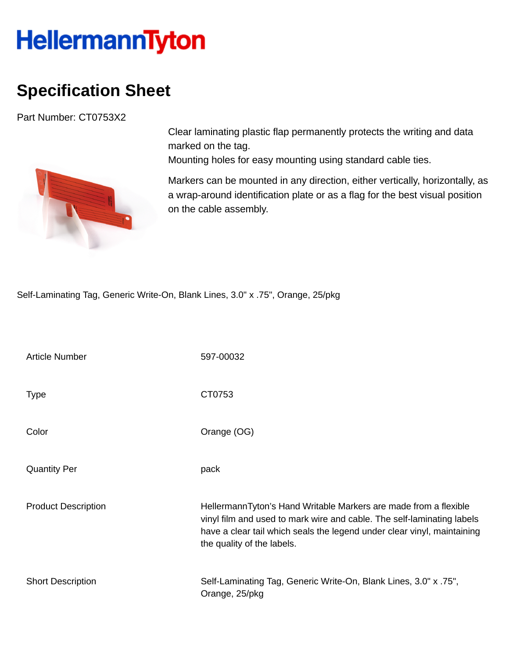## **HellermannTyton**

## **Specification Sheet**

Part Number: CT0753X2



Clear laminating plastic flap permanently protects the writing and data marked on the tag.

Mounting holes for easy mounting using standard cable ties.

Markers can be mounted in any direction, either vertically, horizontally, as a wrap-around identification plate or as a flag for the best visual position on the cable assembly.

Self-Laminating Tag, Generic Write-On, Blank Lines, 3.0" x .75", Orange, 25/pkg

| <b>Article Number</b>      | 597-00032                                                                                                                                                                                                                                           |
|----------------------------|-----------------------------------------------------------------------------------------------------------------------------------------------------------------------------------------------------------------------------------------------------|
| <b>Type</b>                | CT0753                                                                                                                                                                                                                                              |
| Color                      | Orange (OG)                                                                                                                                                                                                                                         |
| <b>Quantity Per</b>        | pack                                                                                                                                                                                                                                                |
| <b>Product Description</b> | HellermannTyton's Hand Writable Markers are made from a flexible<br>vinyl film and used to mark wire and cable. The self-laminating labels<br>have a clear tail which seals the legend under clear vinyl, maintaining<br>the quality of the labels. |
| <b>Short Description</b>   | Self-Laminating Tag, Generic Write-On, Blank Lines, 3.0" x .75",<br>Orange, 25/pkg                                                                                                                                                                  |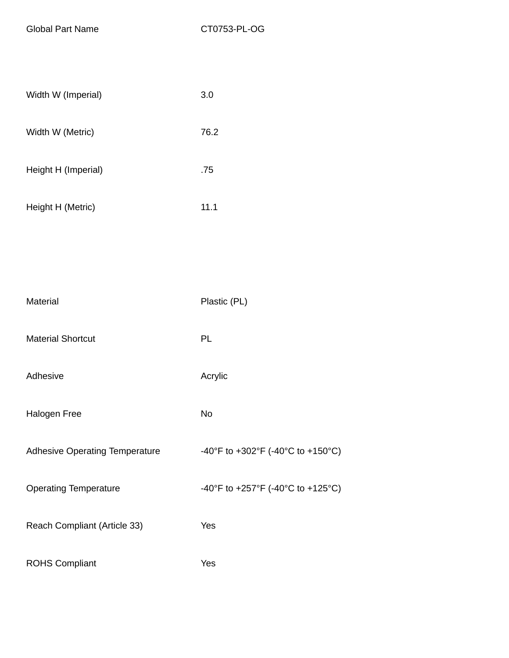Global Part Name CT0753-PL-OG

| Width W (Imperial)  | 3.0  |
|---------------------|------|
| Width W (Metric)    | 76.2 |
| Height H (Imperial) | .75  |
| Height H (Metric)   | 11.1 |
|                     |      |

| Material                              | Plastic (PL)                      |
|---------------------------------------|-----------------------------------|
| <b>Material Shortcut</b>              | PL                                |
| Adhesive                              | Acrylic                           |
| Halogen Free                          | No                                |
| <b>Adhesive Operating Temperature</b> | -40°F to +302°F (-40°C to +150°C) |
| <b>Operating Temperature</b>          | -40°F to +257°F (-40°C to +125°C) |
| Reach Compliant (Article 33)          | Yes                               |
| <b>ROHS Compliant</b>                 | Yes                               |